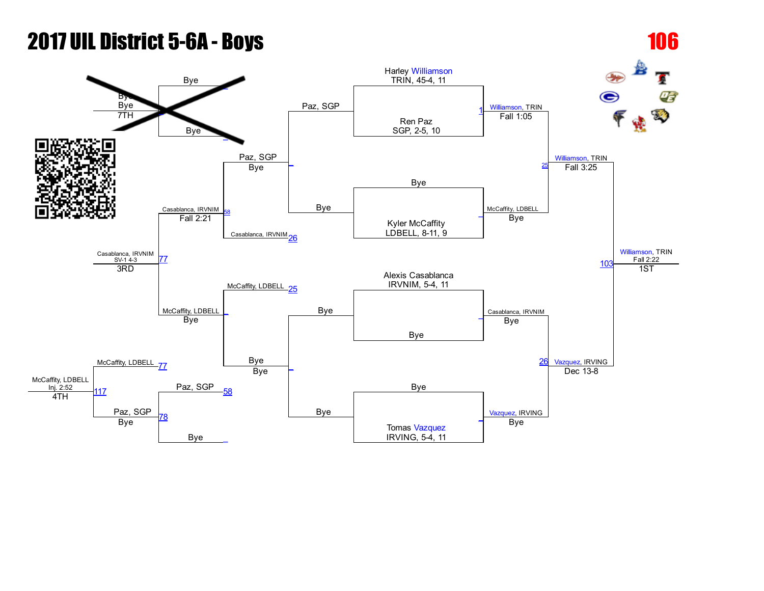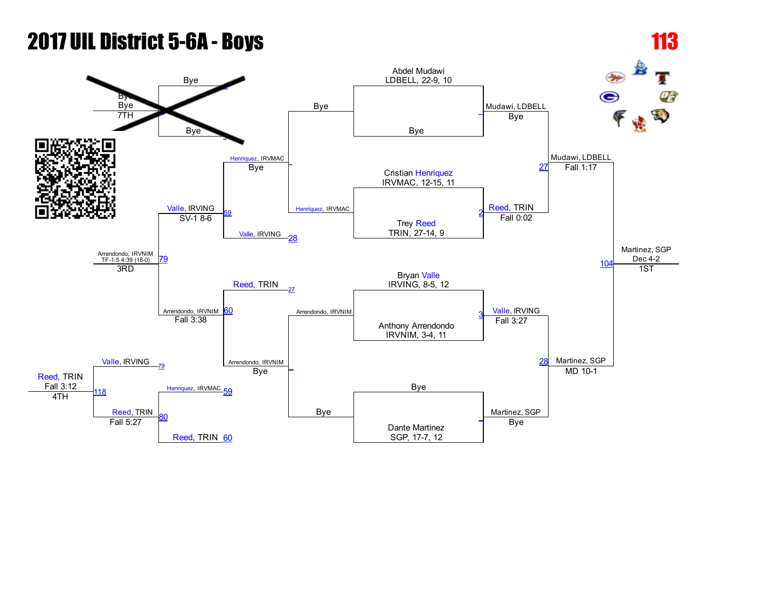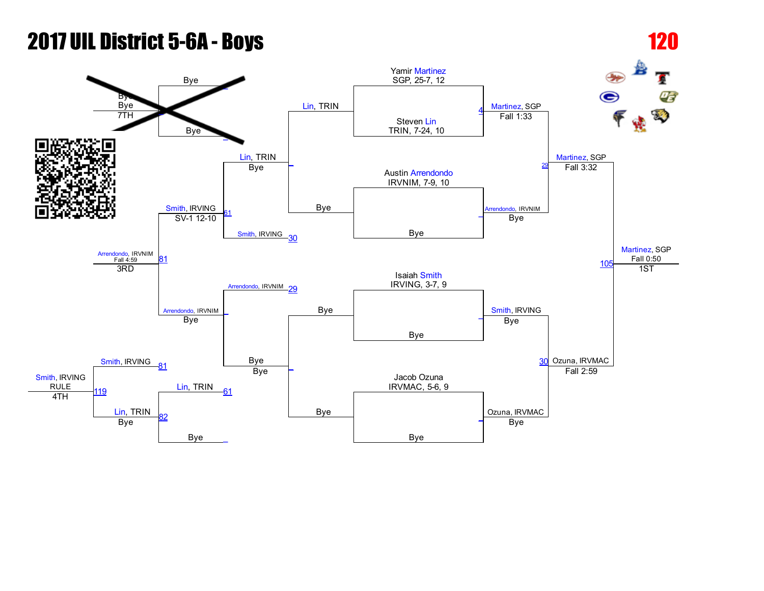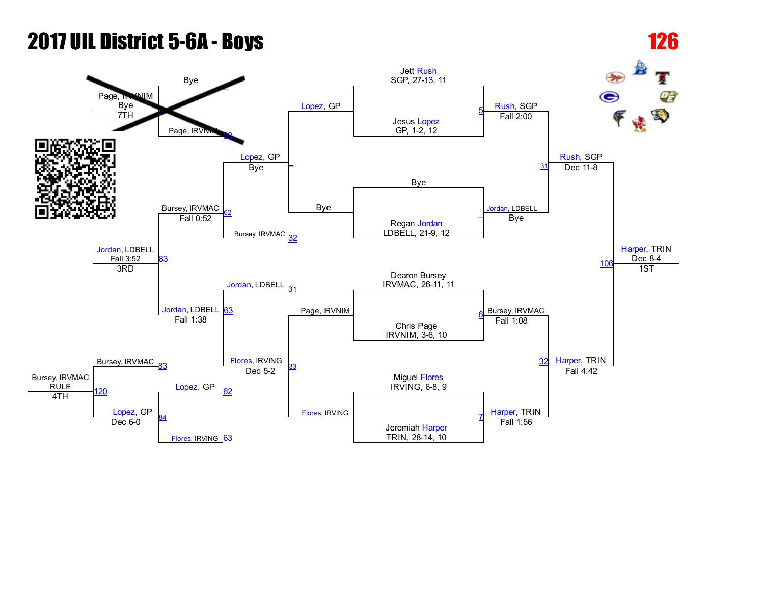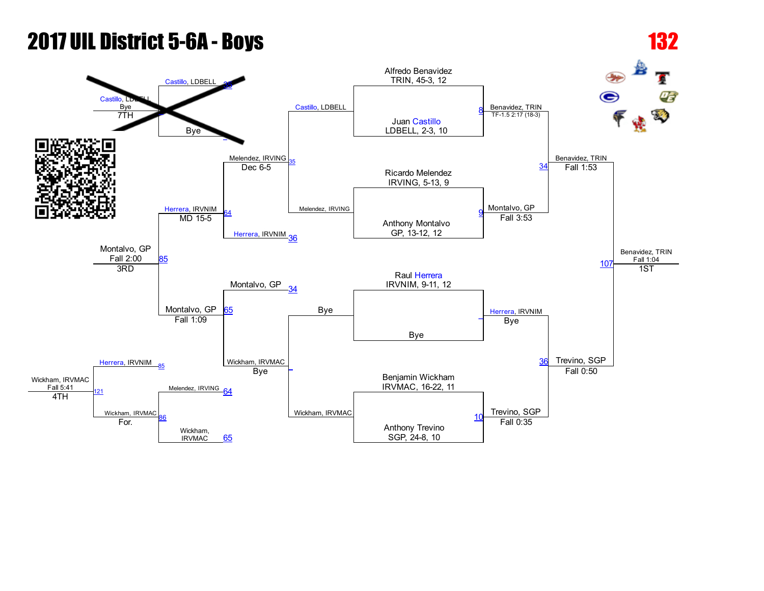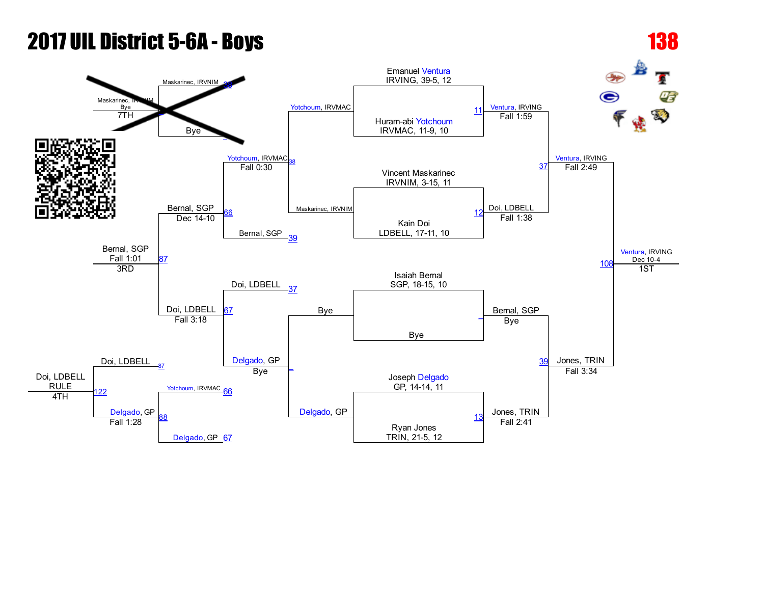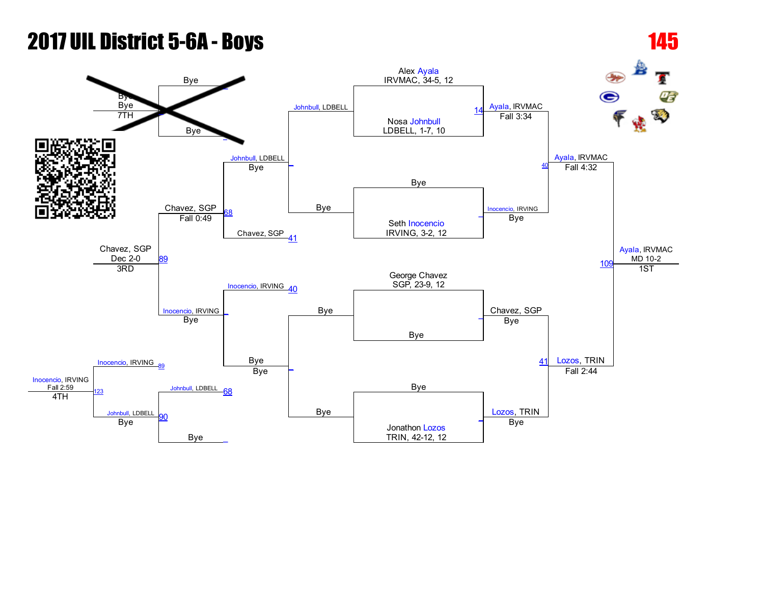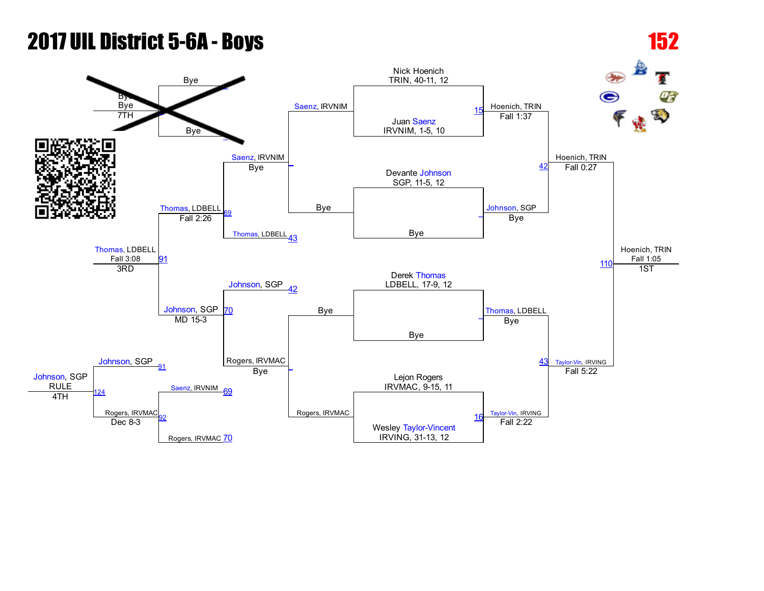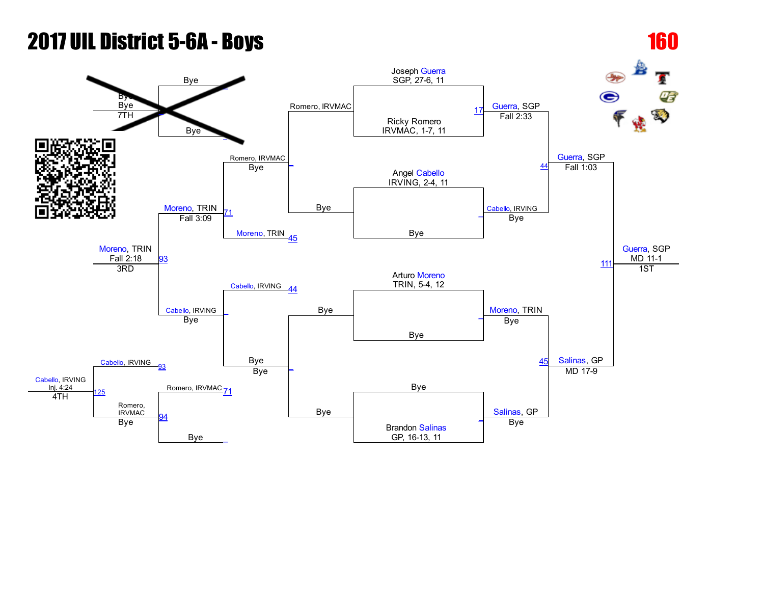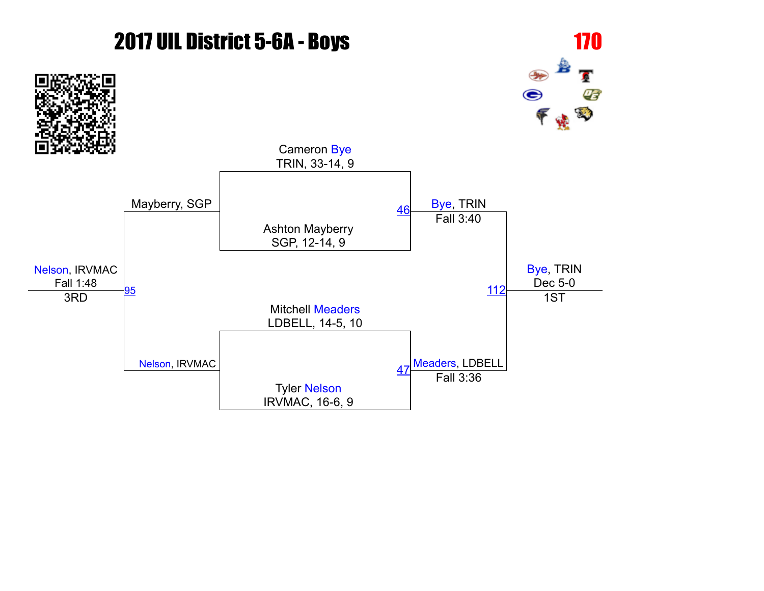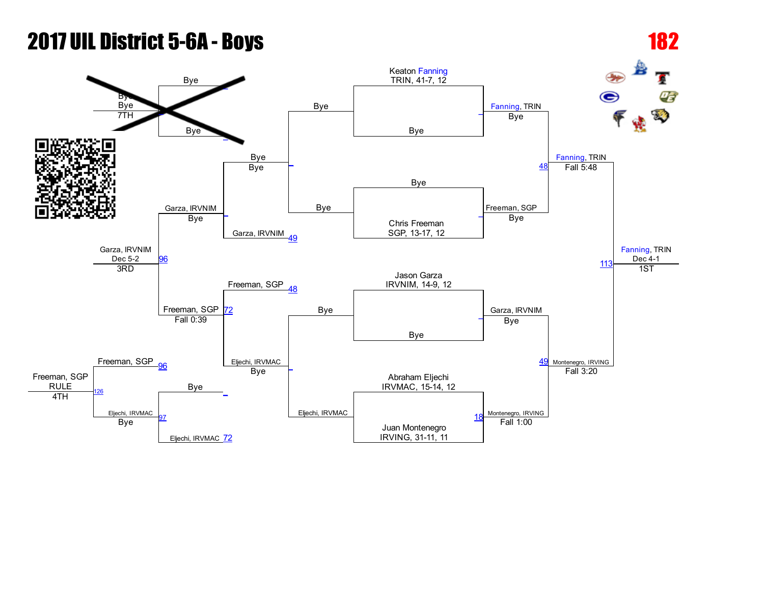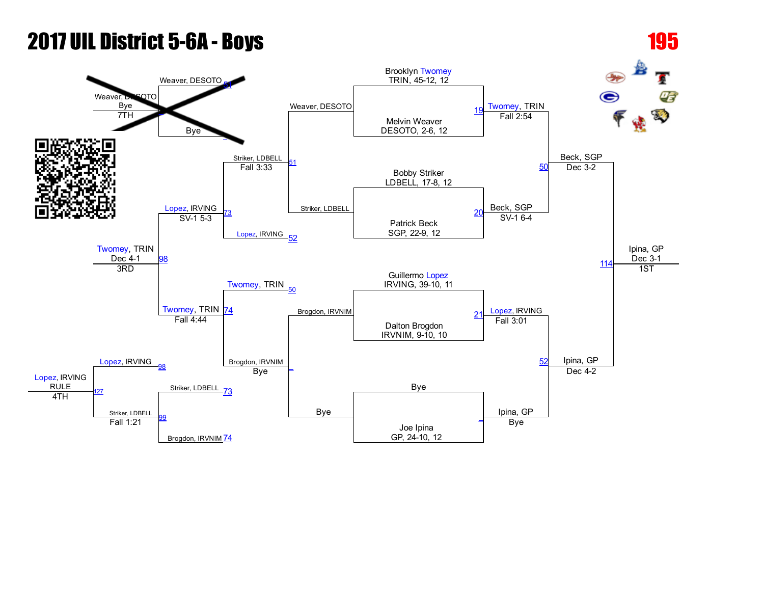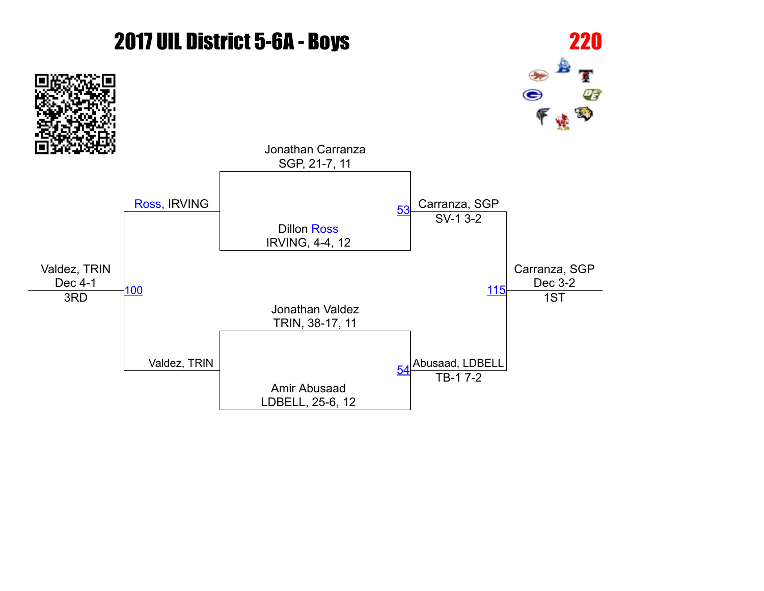